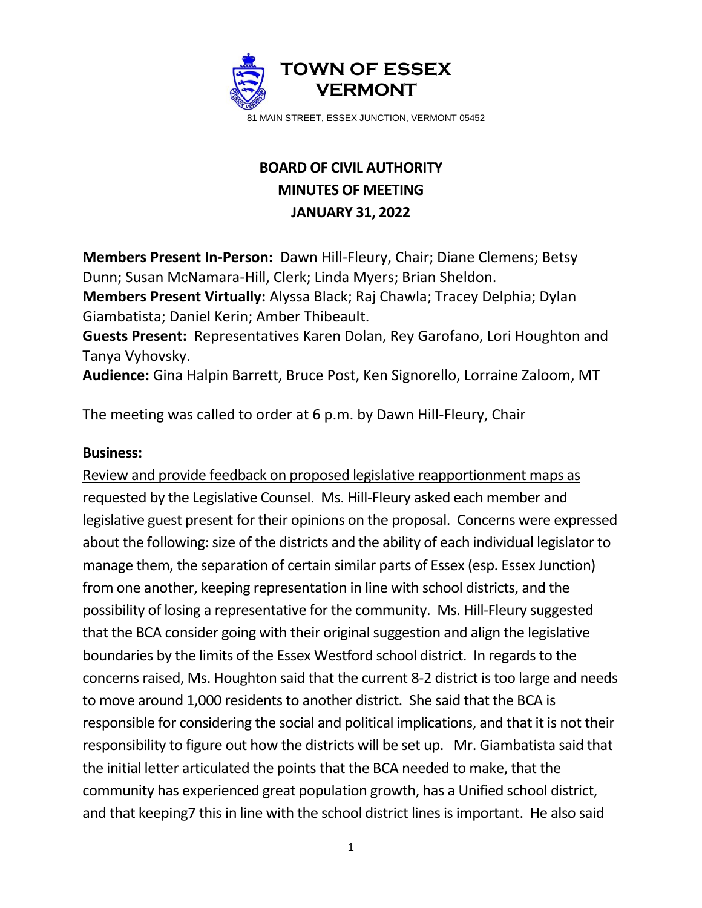

## **BOARD OF CIVIL AUTHORITY MINUTES OF MEETING JANUARY 31, 2022**

**Members Present In-Person:** Dawn Hill-Fleury, Chair; Diane Clemens; Betsy Dunn; Susan McNamara-Hill, Clerk; Linda Myers; Brian Sheldon.

**Members Present Virtually:** Alyssa Black; Raj Chawla; Tracey Delphia; Dylan Giambatista; Daniel Kerin; Amber Thibeault.

**Guests Present:** Representatives Karen Dolan, Rey Garofano, Lori Houghton and Tanya Vyhovsky.

**Audience:** Gina Halpin Barrett, Bruce Post, Ken Signorello, Lorraine Zaloom, MT

The meeting was called to order at 6 p.m. by Dawn Hill-Fleury, Chair

## **Business:**

Review and provide feedback on proposed legislative reapportionment maps as requested by the Legislative Counsel. Ms. Hill-Fleury asked each member and legislative guest present for their opinions on the proposal. Concerns were expressed about the following: size of the districts and the ability of each individual legislator to manage them, the separation of certain similar parts of Essex (esp. Essex Junction) from one another, keeping representation in line with school districts, and the possibility of losing a representative for the community. Ms. Hill-Fleury suggested that the BCA consider going with their original suggestion and align the legislative boundaries by the limits of the Essex Westford school district. In regards to the concerns raised, Ms. Houghton said that the current 8-2 district is too large and needs to move around 1,000 residents to another district. She said that the BCA is responsible for considering the social and political implications, and that it is not their responsibility to figure out how the districts will be set up. Mr. Giambatista said that the initial letter articulated the points that the BCA needed to make, that the community has experienced great population growth, has a Unified school district, and that keeping7 this in line with the school district lines is important. He also said

1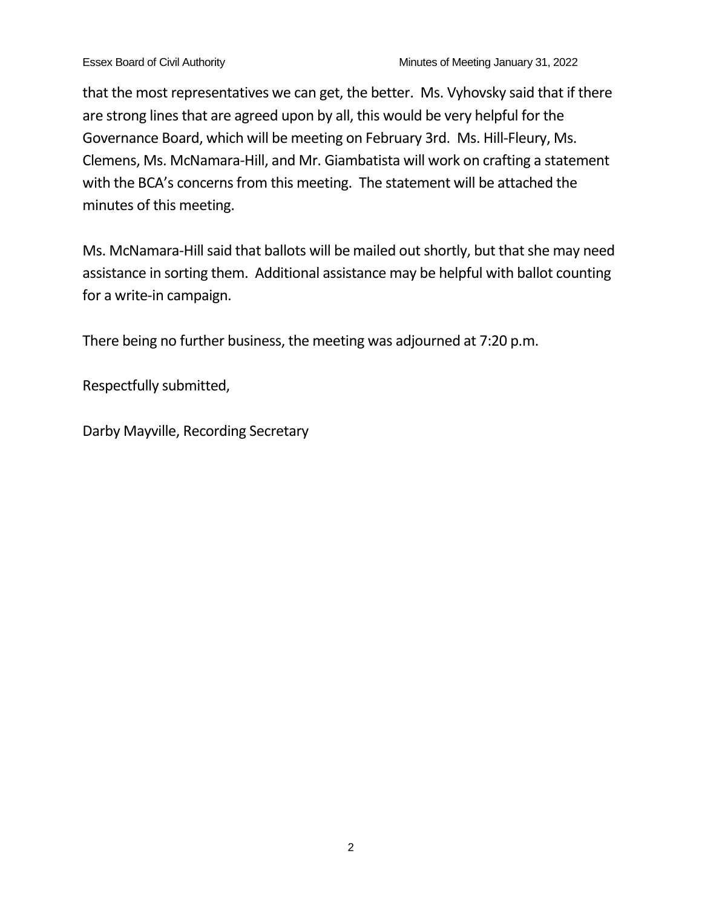that the most representatives we can get, the better. Ms. Vyhovsky said that if there are strong lines that are agreed upon by all, this would be very helpful for the Governance Board, which will be meeting on February 3rd. Ms. Hill-Fleury, Ms. Clemens, Ms. McNamara-Hill, and Mr. Giambatista will work on crafting a statement with the BCA's concerns from this meeting. The statement will be attached the minutes of this meeting.

Ms. McNamara-Hill said that ballots will be mailed out shortly, but that she may need assistance in sorting them. Additional assistance may be helpful with ballot counting for a write-in campaign.

There being no further business, the meeting was adjourned at 7:20 p.m.

Respectfully submitted,

Darby Mayville, Recording Secretary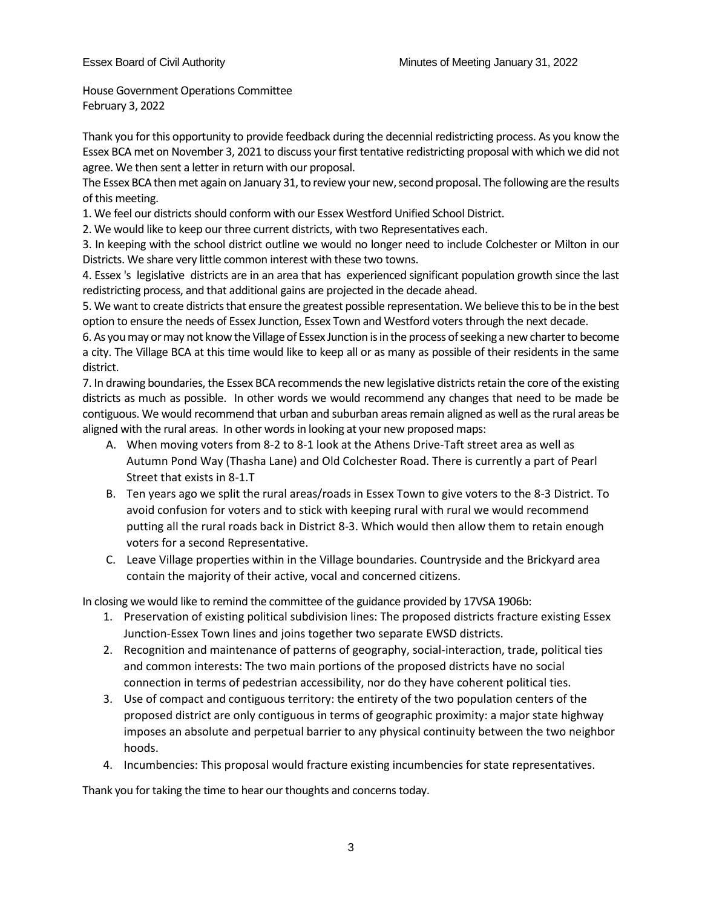House Government Operations Committee February 3, 2022

Thank you for this opportunity to provide feedback during the decennial redistricting process. As you know the Essex BCA met on November 3, 2021 to discuss your first tentative redistricting proposal with which we did not agree. We then sent a letter in return with our proposal.

The Essex BCA then met again on January 31, to review your new, second proposal. The following are the results of this meeting.

1. We feel our districts should conform with our Essex Westford Unified School District.

2. We would like to keep our three current districts, with two Representatives each.

3. In keeping with the school district outline we would no longer need to include Colchester or Milton in our Districts. We share very little common interest with these two towns.

4. Essex 's legislative districts are in an area that has experienced significant population growth since the last redistricting process, and that additional gains are projected in the decade ahead.

5. We want to create districts that ensure the greatest possible representation. We believe this to be in the best option to ensure the needs of Essex Junction, Essex Town and Westford voters through the next decade.

6. As you may or may not know the Village of Essex Junction is in the process of seeking a new charter to become a city. The Village BCA at this time would like to keep all or as many as possible of their residents in the same district.

7. In drawing boundaries, the Essex BCA recommends the new legislative districts retain the core of the existing districts as much as possible. In other words we would recommend any changes that need to be made be contiguous. We would recommend that urban and suburban areas remain aligned as well as the rural areas be aligned with the rural areas. In other words in looking at your new proposed maps:

- A. When moving voters from 8-2 to 8-1 look at the Athens Drive-Taft street area as well as Autumn Pond Way (Thasha Lane) and Old Colchester Road. There is currently a part of Pearl Street that exists in 8-1.T
- B. Ten years ago we split the rural areas/roads in Essex Town to give voters to the 8-3 District. To avoid confusion for voters and to stick with keeping rural with rural we would recommend putting all the rural roads back in District 8-3. Which would then allow them to retain enough voters for a second Representative.
- C. Leave Village properties within in the Village boundaries. Countryside and the Brickyard area contain the majority of their active, vocal and concerned citizens.

In closing we would like to remind the committee of the guidance provided by 17VSA 1906b:

- 1. Preservation of existing political subdivision lines: The proposed districts fracture existing Essex Junction-Essex Town lines and joins together two separate EWSD districts.
- 2. Recognition and maintenance of patterns of geography, social-interaction, trade, political ties and common interests: The two main portions of the proposed districts have no social connection in terms of pedestrian accessibility, nor do they have coherent political ties.
- 3. Use of compact and contiguous territory: the entirety of the two population centers of the proposed district are only contiguous in terms of geographic proximity: a major state highway imposes an absolute and perpetual barrier to any physical continuity between the two neighbor hoods.
- 4. Incumbencies: This proposal would fracture existing incumbencies for state representatives.

Thank you for taking the time to hear our thoughts and concerns today.